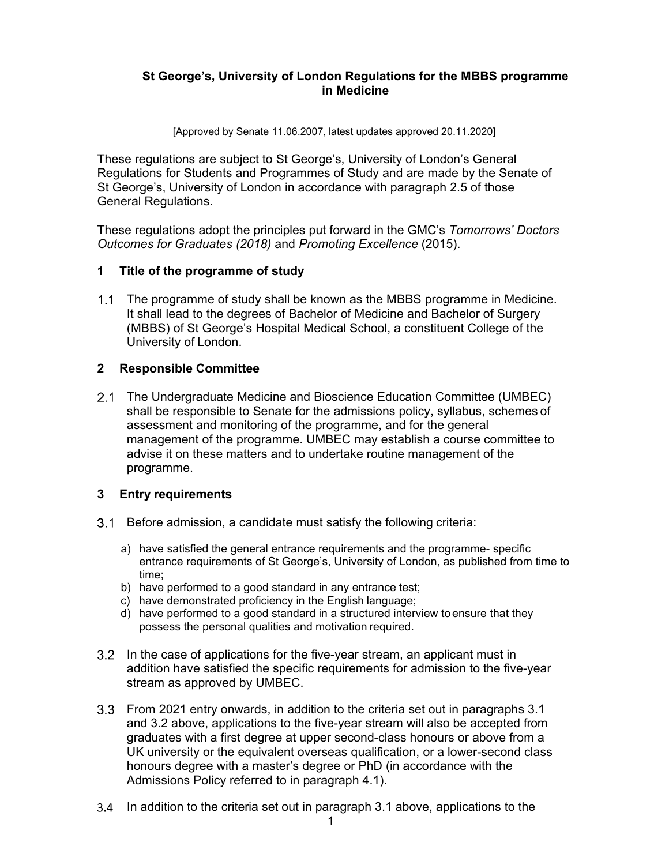## **St George's, University of London Regulations for the MBBS programme in Medicine**

[Approved by Senate 11.06.2007, latest updates approved 20.11.2020]

These regulations are subject to St George's, University of London's General Regulations for Students and Programmes of Study and are made by the Senate of St George's, University of London in accordance with paragraph 2.5 of those General Regulations.

These regulations adopt the principles put forward in the GMC's *Tomorrows' Doctors Outcomes for Graduates (2018)* and *Promoting Excellence* (2015).

## **1 Title of the programme of study**

 The programme of study shall be known as the MBBS programme in Medicine. It shall lead to the degrees of Bachelor of Medicine and Bachelor of Surgery (MBBS) of St George's Hospital Medical School, a constituent College of the University of London.

### **2 Responsible Committee**

2.1 The Undergraduate Medicine and Bioscience Education Committee (UMBEC) shall be responsible to Senate for the admissions policy, syllabus, schemes of assessment and monitoring of the programme, and for the general management of the programme. UMBEC may establish a course committee to advise it on these matters and to undertake routine management of the programme.

### **3 Entry requirements**

- 3.1 Before admission, a candidate must satisfy the following criteria:
	- a) have satisfied the general entrance requirements and the programme- specific entrance requirements of St George's, University of London, as published from time to time;
	- b) have performed to a good standard in any entrance test;
	- c) have demonstrated proficiency in the English language;
	- d) have performed to a good standard in a structured interview to ensure that they possess the personal qualities and motivation required.
- In the case of applications for the five-year stream, an applicant must in addition have satisfied the specific requirements for admission to the five-year stream as approved by UMBEC.
- From 2021 entry onwards, in addition to the criteria set out in paragraphs 3.1 and 3.2 above, applications to the five-year stream will also be accepted from graduates with a first degree at upper second-class honours or above from a UK university or the equivalent overseas qualification, or a lower-second class honours degree with a master's degree or PhD (in accordance with the Admissions Policy referred to in paragraph 4.1).
- In addition to the criteria set out in paragraph 3.1 above, applications to the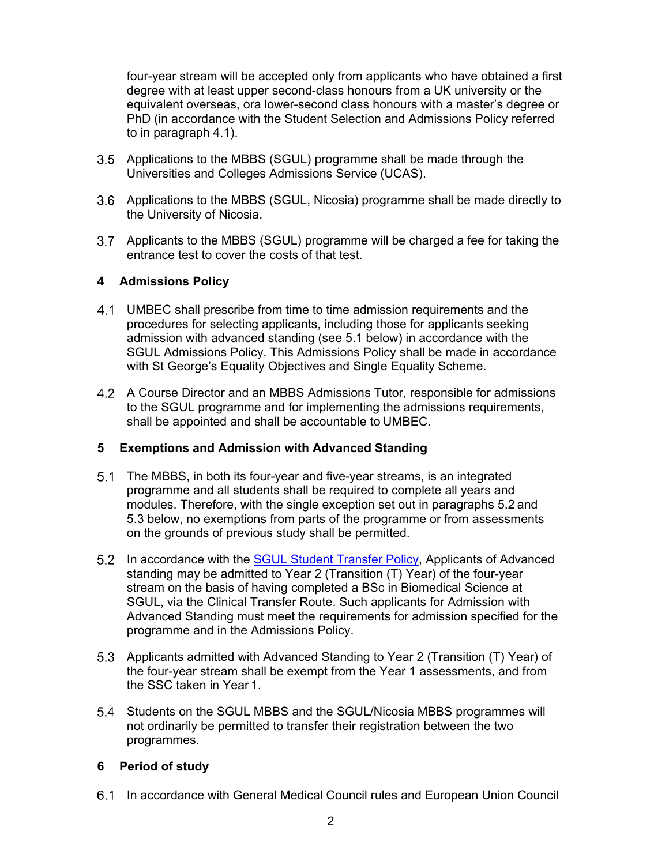four-year stream will be accepted only from applicants who have obtained a first degree with at least upper second-class honours from a UK university or the equivalent overseas, ora lower-second class honours with a master's degree or PhD (in accordance with the Student Selection and Admissions Policy referred to in paragraph 4.1).

- Applications to the MBBS (SGUL) programme shall be made through the Universities and Colleges Admissions Service (UCAS).
- 3.6 Applications to the MBBS (SGUL, Nicosia) programme shall be made directly to the University of Nicosia.
- Applicants to the MBBS (SGUL) programme will be charged a fee for taking the entrance test to cover the costs of that test.

## **4 Admissions Policy**

- UMBEC shall prescribe from time to time admission requirements and the procedures for selecting applicants, including those for applicants seeking admission with advanced standing (see 5.1 below) in accordance with the SGUL Admissions Policy. This Admissions Policy shall be made in accordance with St George's Equality Objectives and Single Equality Scheme.
- A Course Director and an MBBS Admissions Tutor, responsible for admissions to the SGUL programme and for implementing the admissions requirements, shall be appointed and shall be accountable to UMBEC.

### **5 Exemptions and Admission with Advanced Standing**

- The MBBS, in both its four-year and five-year streams, is an integrated programme and all students shall be required to complete all years and modules. Therefore, with the single exception set out in paragraphs 5.2 and 5.3 below, no exemptions from parts of the programme or from assessments on the grounds of previous study shall be permitted.
- 5.2 In accordance with the SGUL Student Transfer Policy, Applicants of Advanced standing may be admitted to Year 2 (Transition (T) Year) of the four-year stream on the basis of having completed a BSc in Biomedical Science at SGUL, via the Clinical Transfer Route. Such applicants for Admission with Advanced Standing must meet the requirements for admission specified for the programme and in the Admissions Policy.
- 5.3 Applicants admitted with Advanced Standing to Year 2 (Transition (T) Year) of the four-year stream shall be exempt from the Year 1 assessments, and from the SSC taken in Year 1.
- Students on the SGUL MBBS and the SGUL/Nicosia MBBS programmes will not ordinarily be permitted to transfer their registration between the two programmes.

## **6 Period of study**

6.1 In accordance with General Medical Council rules and European Union Council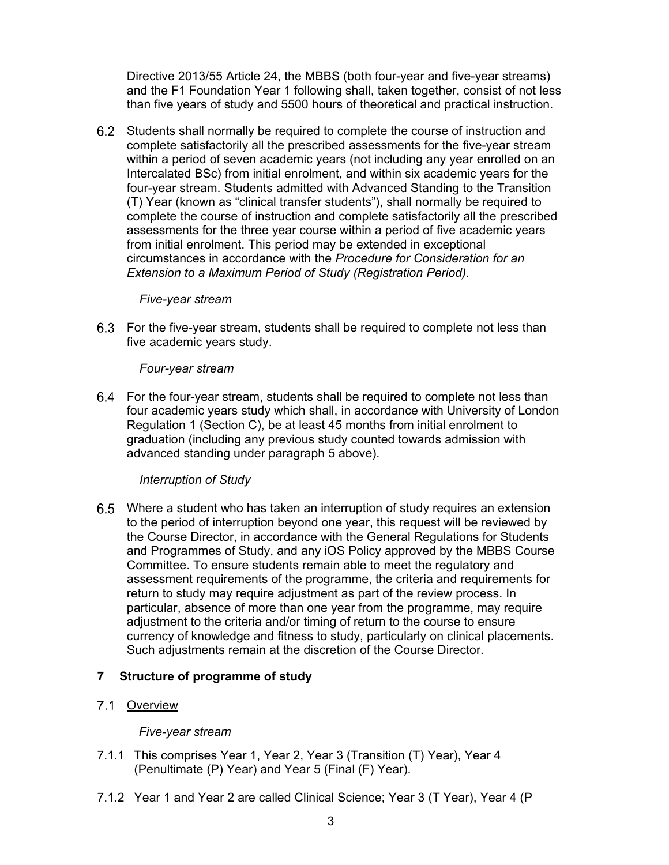Directive 2013/55 Article 24, the MBBS (both four-year and five-year streams) and the F1 Foundation Year 1 following shall, taken together, consist of not less than five years of study and 5500 hours of theoretical and practical instruction.

 Students shall normally be required to complete the course of instruction and complete satisfactorily all the prescribed assessments for the five-year stream within a period of seven academic years (not including any year enrolled on an Intercalated BSc) from initial enrolment, and within six academic years for the four-year stream. Students admitted with Advanced Standing to the Transition (T) Year (known as "clinical transfer students"), shall normally be required to complete the course of instruction and complete satisfactorily all the prescribed assessments for the three year course within a period of five academic years from initial enrolment. This period may be extended in exceptional circumstances in accordance with the *Procedure for Consideration for an Extension to a Maximum Period of Study (Registration Period).* 

### *Five-year stream*

 For the five-year stream, students shall be required to complete not less than five academic years study.

#### *Four-year stream*

 For the four-year stream, students shall be required to complete not less than four academic years study which shall, in accordance with University of London Regulation 1 (Section C), be at least 45 months from initial enrolment to graduation (including any previous study counted towards admission with advanced standing under paragraph 5 above).

### *Interruption of Study*

 Where a student who has taken an interruption of study requires an extension to the period of interruption beyond one year, this request will be reviewed by the Course Director, in accordance with the General Regulations for Students and Programmes of Study, and any iOS Policy approved by the MBBS Course Committee. To ensure students remain able to meet the regulatory and assessment requirements of the programme, the criteria and requirements for return to study may require adjustment as part of the review process. In particular, absence of more than one year from the programme, may require adjustment to the criteria and/or timing of return to the course to ensure currency of knowledge and fitness to study, particularly on clinical placements. Such adjustments remain at the discretion of the Course Director.

### **7 Structure of programme of study**

### 7.1 Overview

### *Five-year stream*

- 7.1.1 This comprises Year 1, Year 2, Year 3 (Transition (T) Year), Year 4 (Penultimate (P) Year) and Year 5 (Final (F) Year).
- 7.1.2 Year 1 and Year 2 are called Clinical Science; Year 3 (T Year), Year 4 (P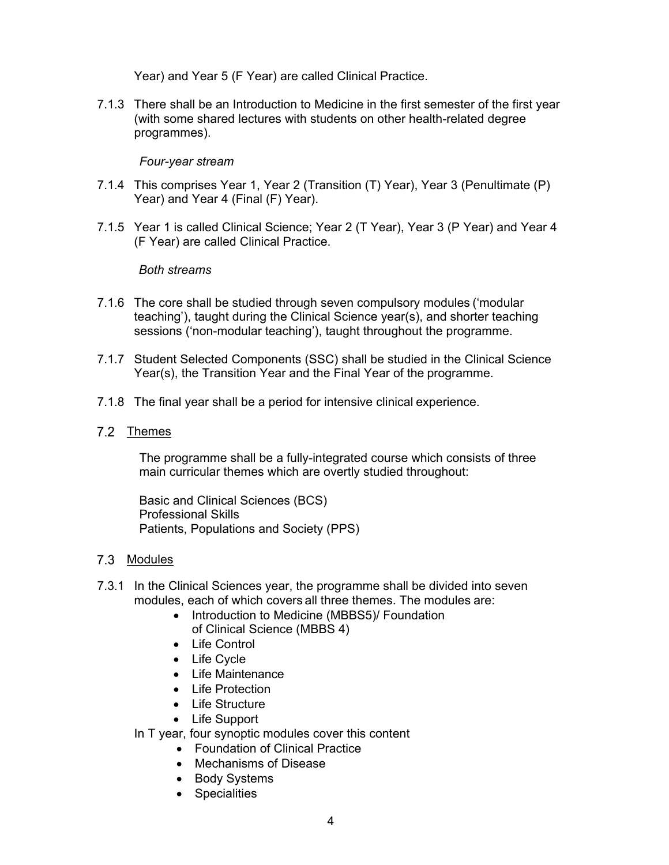Year) and Year 5 (F Year) are called Clinical Practice.

7.1.3 There shall be an Introduction to Medicine in the first semester of the first year (with some shared lectures with students on other health-related degree programmes).

### *Four-year stream*

- 7.1.4 This comprises Year 1, Year 2 (Transition (T) Year), Year 3 (Penultimate (P) Year) and Year 4 (Final (F) Year).
- 7.1.5 Year 1 is called Clinical Science; Year 2 (T Year), Year 3 (P Year) and Year 4 (F Year) are called Clinical Practice.

### *Both streams*

- 7.1.6 The core shall be studied through seven compulsory modules ('modular teaching'), taught during the Clinical Science year(s), and shorter teaching sessions ('non-modular teaching'), taught throughout the programme.
- 7.1.7 Student Selected Components (SSC) shall be studied in the Clinical Science Year(s), the Transition Year and the Final Year of the programme.
- 7.1.8 The final year shall be a period for intensive clinical experience.
- 7.2 Themes

The programme shall be a fully-integrated course which consists of three main curricular themes which are overtly studied throughout:

Basic and Clinical Sciences (BCS) Professional Skills Patients, Populations and Society (PPS)

### 7.3 Modules

- 7.3.1 In the Clinical Sciences year, the programme shall be divided into seven modules, each of which covers all three themes. The modules are:
	- Introduction to Medicine (MBBS5)/ Foundation of Clinical Science (MBBS 4)
	- Life Control
	- Life Cycle
	- Life Maintenance
	- Life Protection
	- Life Structure
	- Life Support

In T year, four synoptic modules cover this content

- Foundation of Clinical Practice
- Mechanisms of Disease
- Body Systems
- Specialities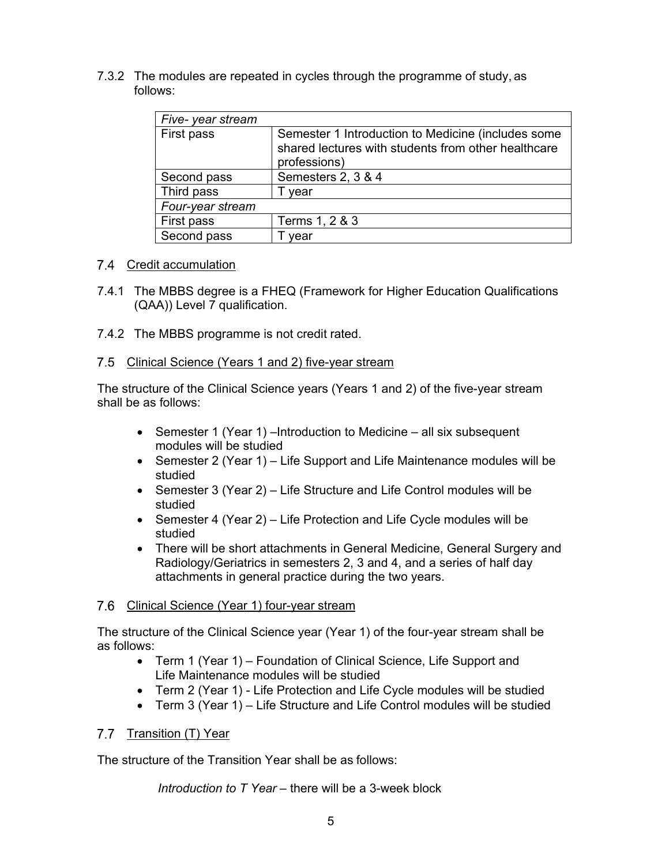7.3.2 The modules are repeated in cycles through the programme of study, as follows:

| Five-year stream |                                                                                                                           |
|------------------|---------------------------------------------------------------------------------------------------------------------------|
| First pass       | Semester 1 Introduction to Medicine (includes some<br>shared lectures with students from other healthcare<br>professions) |
| Second pass      | Semesters 2, 3 & 4                                                                                                        |
| Third pass       | vear                                                                                                                      |
| Four-year stream |                                                                                                                           |
| First pass       | Terms 1, 2 & 3                                                                                                            |
| Second pass      | year                                                                                                                      |

## 7.4 Credit accumulation

- 7.4.1 The MBBS degree is a FHEQ (Framework for Higher Education Qualifications (QAA)) Level 7 qualification.
- 7.4.2 The MBBS programme is not credit rated.

## 7.5 Clinical Science (Years 1 and 2) five-year stream

The structure of the Clinical Science years (Years 1 and 2) of the five-year stream shall be as follows:

- Semester 1 (Year 1) –Introduction to Medicine all six subsequent modules will be studied
- Semester 2 (Year 1) Life Support and Life Maintenance modules will be studied
- Semester 3 (Year 2) Life Structure and Life Control modules will be studied
- Semester 4 (Year 2) Life Protection and Life Cycle modules will be studied
- There will be short attachments in General Medicine, General Surgery and Radiology/Geriatrics in semesters 2, 3 and 4, and a series of half day attachments in general practice during the two years.

### 7.6 Clinical Science (Year 1) four-year stream

The structure of the Clinical Science year (Year 1) of the four-year stream shall be as follows:

- Term 1 (Year 1) Foundation of Clinical Science, Life Support and Life Maintenance modules will be studied
- Term 2 (Year 1) Life Protection and Life Cycle modules will be studied
- Term 3 (Year 1) Life Structure and Life Control modules will be studied

## 7.7 Transition (T) Year

The structure of the Transition Year shall be as follows:

*Introduction to T Year* – there will be a 3-week block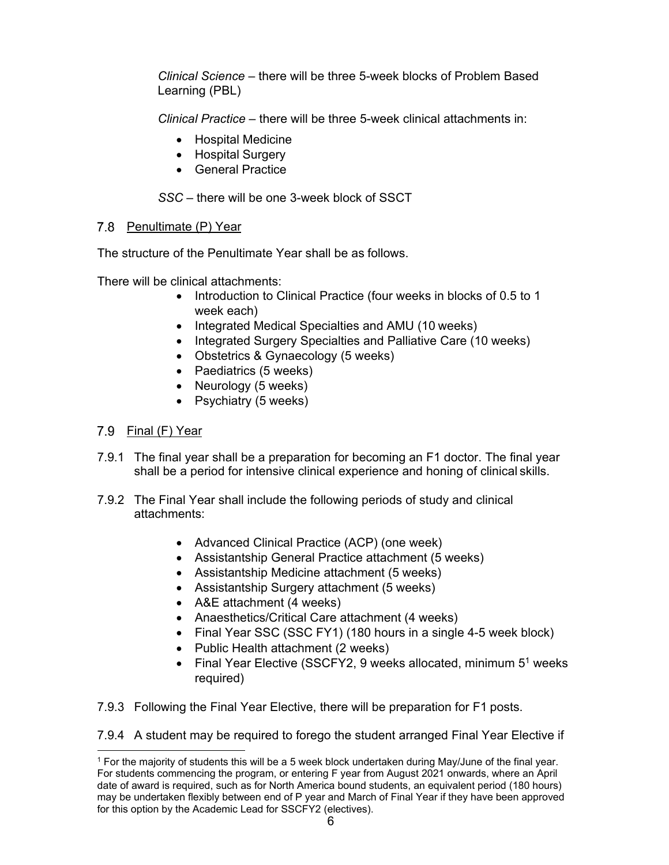*Clinical Science* – there will be three 5-week blocks of Problem Based Learning (PBL)

*Clinical Practice* – there will be three 5-week clinical attachments in:

- Hospital Medicine
- Hospital Surgery
- General Practice

*SSC* – there will be one 3-week block of SSCT

## 7.8 Penultimate (P) Year

The structure of the Penultimate Year shall be as follows.

There will be clinical attachments:

- Introduction to Clinical Practice (four weeks in blocks of 0.5 to 1 week each)
- Integrated Medical Specialties and AMU (10 weeks)
- Integrated Surgery Specialties and Palliative Care (10 weeks)
- Obstetrics & Gynaecology (5 weeks)
- Paediatrics (5 weeks)
- Neurology (5 weeks)
- Psychiatry (5 weeks)

# 7.9 Final (F) Year

- 7.9.1 The final year shall be a preparation for becoming an F1 doctor. The final year shall be a period for intensive clinical experience and honing of clinical skills.
- 7.9.2 The Final Year shall include the following periods of study and clinical attachments:
	- Advanced Clinical Practice (ACP) (one week)
	- Assistantship General Practice attachment (5 weeks)
	- Assistantship Medicine attachment (5 weeks)
	- Assistantship Surgery attachment (5 weeks)
	- A&E attachment (4 weeks)
	- Anaesthetics/Critical Care attachment (4 weeks)
	- Final Year SSC (SSC FY1) (180 hours in a single 4-5 week block)
	- Public Health attachment (2 weeks)
	- Final Year Elective (SSCFY2, 9 weeks allocated, minimum  $5<sup>1</sup>$  weeks required)
- 7.9.3 Following the Final Year Elective, there will be preparation for F1 posts.

7.9.4 A student may be required to forego the student arranged Final Year Elective if

<sup>1</sup> For the majority of students this will be a 5 week block undertaken during May/June of the final year. For students commencing the program, or entering F year from August 2021 onwards, where an April date of award is required, such as for North America bound students, an equivalent period (180 hours) may be undertaken flexibly between end of P year and March of Final Year if they have been approved for this option by the Academic Lead for SSCFY2 (electives).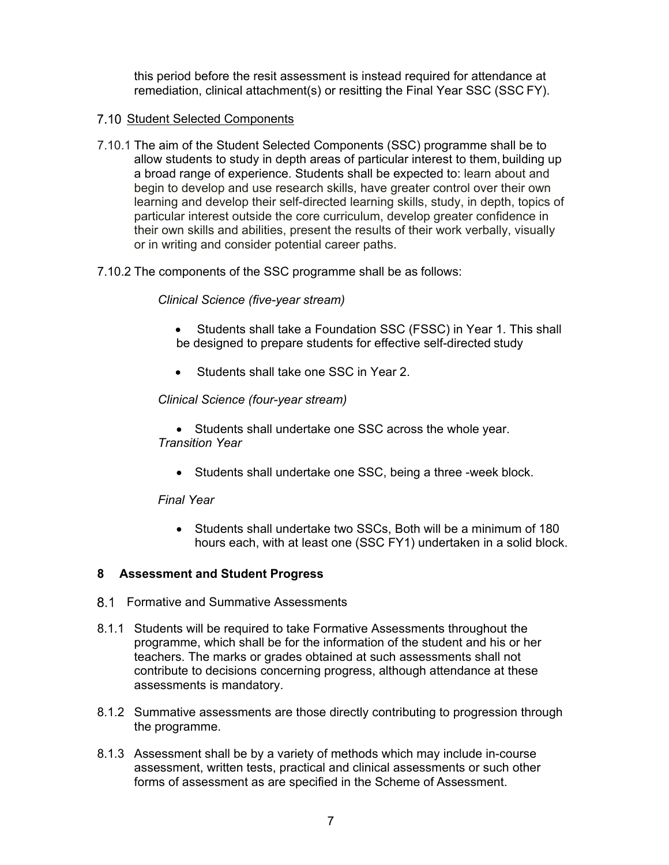this period before the resit assessment is instead required for attendance at remediation, clinical attachment(s) or resitting the Final Year SSC (SSC FY).

## 7.10 Student Selected Components

- 7.10.1 The aim of the Student Selected Components (SSC) programme shall be to allow students to study in depth areas of particular interest to them, building up a broad range of experience. Students shall be expected to: learn about and begin to develop and use research skills, have greater control over their own learning and develop their self-directed learning skills, study, in depth, topics of particular interest outside the core curriculum, develop greater confidence in their own skills and abilities, present the results of their work verbally, visually or in writing and consider potential career paths.
- 7.10.2 The components of the SSC programme shall be as follows:

## *Clinical Science (five-year stream)*

- Students shall take a Foundation SSC (FSSC) in Year 1. This shall be designed to prepare students for effective self-directed study
- Students shall take one SSC in Year 2.

## *Clinical Science (four-year stream)*

- Students shall undertake one SSC across the whole year. *Transition Year* 
	- Students shall undertake one SSC, being a three -week block.

### *Final Year*

 Students shall undertake two SSCs, Both will be a minimum of 180 hours each, with at least one (SSC FY1) undertaken in a solid block.

### **8 Assessment and Student Progress**

- 8.1 Formative and Summative Assessments
- 8.1.1 Students will be required to take Formative Assessments throughout the programme, which shall be for the information of the student and his or her teachers. The marks or grades obtained at such assessments shall not contribute to decisions concerning progress, although attendance at these assessments is mandatory.
- 8.1.2 Summative assessments are those directly contributing to progression through the programme.
- 8.1.3 Assessment shall be by a variety of methods which may include in-course assessment, written tests, practical and clinical assessments or such other forms of assessment as are specified in the Scheme of Assessment.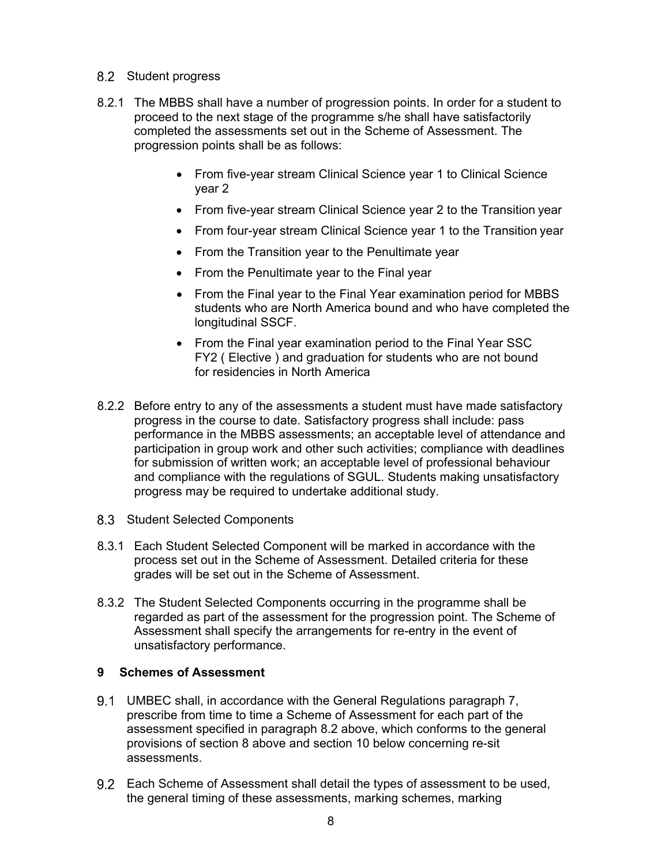- 8.2 Student progress
- 8.2.1 The MBBS shall have a number of progression points. In order for a student to proceed to the next stage of the programme s/he shall have satisfactorily completed the assessments set out in the Scheme of Assessment. The progression points shall be as follows:
	- From five-year stream Clinical Science year 1 to Clinical Science year 2
	- From five-year stream Clinical Science year 2 to the Transition year
	- From four-year stream Clinical Science year 1 to the Transition year
	- From the Transition year to the Penultimate year
	- From the Penultimate year to the Final year
	- From the Final year to the Final Year examination period for MBBS students who are North America bound and who have completed the longitudinal SSCF.
	- From the Final year examination period to the Final Year SSC FY2 ( Elective ) and graduation for students who are not bound for residencies in North America
- 8.2.2 Before entry to any of the assessments a student must have made satisfactory progress in the course to date. Satisfactory progress shall include: pass performance in the MBBS assessments; an acceptable level of attendance and participation in group work and other such activities; compliance with deadlines for submission of written work; an acceptable level of professional behaviour and compliance with the regulations of SGUL. Students making unsatisfactory progress may be required to undertake additional study.
- 8.3 Student Selected Components
- 8.3.1 Each Student Selected Component will be marked in accordance with the process set out in the Scheme of Assessment. Detailed criteria for these grades will be set out in the Scheme of Assessment.
- 8.3.2 The Student Selected Components occurring in the programme shall be regarded as part of the assessment for the progression point. The Scheme of Assessment shall specify the arrangements for re-entry in the event of unsatisfactory performance.

### **9 Schemes of Assessment**

- UMBEC shall, in accordance with the General Regulations paragraph 7, prescribe from time to time a Scheme of Assessment for each part of the assessment specified in paragraph 8.2 above, which conforms to the general provisions of section 8 above and section 10 below concerning re-sit assessments.
- Each Scheme of Assessment shall detail the types of assessment to be used, the general timing of these assessments, marking schemes, marking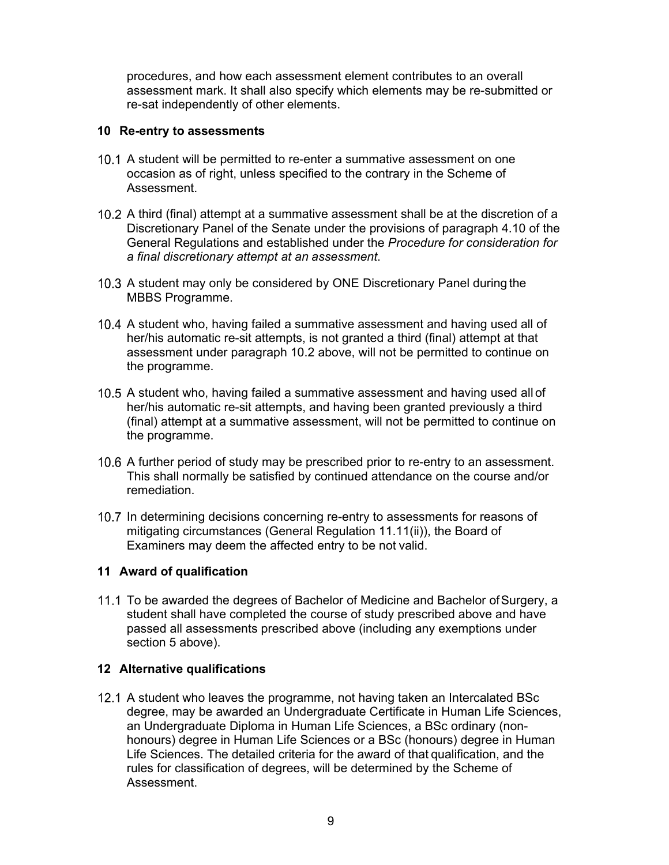procedures, and how each assessment element contributes to an overall assessment mark. It shall also specify which elements may be re-submitted or re-sat independently of other elements.

#### **10 Re-entry to assessments**

- 10.1 A student will be permitted to re-enter a summative assessment on one occasion as of right, unless specified to the contrary in the Scheme of Assessment.
- 10.2 A third (final) attempt at a summative assessment shall be at the discretion of a Discretionary Panel of the Senate under the provisions of paragraph 4.10 of the General Regulations and established under the *Procedure for consideration for a final discretionary attempt at an assessment*.
- 10.3 A student may only be considered by ONE Discretionary Panel during the MBBS Programme.
- 10.4 A student who, having failed a summative assessment and having used all of her/his automatic re-sit attempts, is not granted a third (final) attempt at that assessment under paragraph 10.2 above, will not be permitted to continue on the programme.
- 10.5 A student who, having failed a summative assessment and having used all of her/his automatic re-sit attempts, and having been granted previously a third (final) attempt at a summative assessment, will not be permitted to continue on the programme.
- 10.6 A further period of study may be prescribed prior to re-entry to an assessment. This shall normally be satisfied by continued attendance on the course and/or remediation.
- 10.7 In determining decisions concerning re-entry to assessments for reasons of mitigating circumstances (General Regulation 11.11(ii)), the Board of Examiners may deem the affected entry to be not valid.

### **11 Award of qualification**

11.1 To be awarded the degrees of Bachelor of Medicine and Bachelor of Surgery, a student shall have completed the course of study prescribed above and have passed all assessments prescribed above (including any exemptions under section 5 above).

### **12 Alternative qualifications**

12.1 A student who leaves the programme, not having taken an Intercalated BSc degree, may be awarded an Undergraduate Certificate in Human Life Sciences, an Undergraduate Diploma in Human Life Sciences, a BSc ordinary (nonhonours) degree in Human Life Sciences or a BSc (honours) degree in Human Life Sciences. The detailed criteria for the award of that qualification, and the rules for classification of degrees, will be determined by the Scheme of Assessment.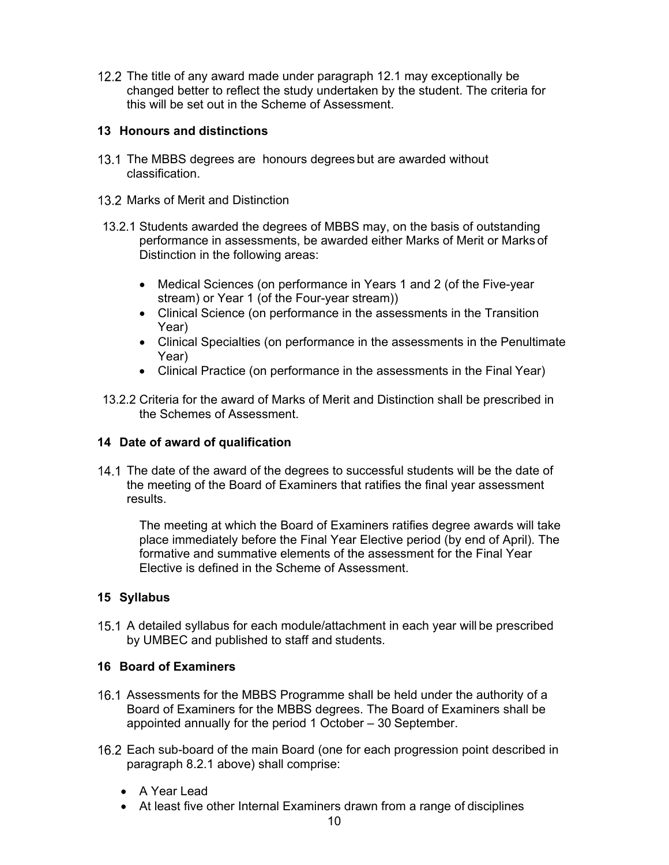12.2 The title of any award made under paragraph 12.1 may exceptionally be changed better to reflect the study undertaken by the student. The criteria for this will be set out in the Scheme of Assessment.

## **13 Honours and distinctions**

- 13.1 The MBBS degrees are honours degrees but are awarded without classification.
- 13.2 Marks of Merit and Distinction
- 13.2.1 Students awarded the degrees of MBBS may, on the basis of outstanding performance in assessments, be awarded either Marks of Merit or Marks of Distinction in the following areas:
	- Medical Sciences (on performance in Years 1 and 2 (of the Five-year stream) or Year 1 (of the Four-year stream))
	- Clinical Science (on performance in the assessments in the Transition Year)
	- Clinical Specialties (on performance in the assessments in the Penultimate Year)
	- Clinical Practice (on performance in the assessments in the Final Year)
- 13.2.2 Criteria for the award of Marks of Merit and Distinction shall be prescribed in the Schemes of Assessment.

## **14 Date of award of qualification**

14.1 The date of the award of the degrees to successful students will be the date of the meeting of the Board of Examiners that ratifies the final year assessment results.

The meeting at which the Board of Examiners ratifies degree awards will take place immediately before the Final Year Elective period (by end of April). The formative and summative elements of the assessment for the Final Year Elective is defined in the Scheme of Assessment.

## **15 Syllabus**

 A detailed syllabus for each module/attachment in each year will be prescribed by UMBEC and published to staff and students.

## **16 Board of Examiners**

- 16.1 Assessments for the MBBS Programme shall be held under the authority of a Board of Examiners for the MBBS degrees. The Board of Examiners shall be appointed annually for the period 1 October – 30 September.
- 16.2 Each sub-board of the main Board (one for each progression point described in paragraph 8.2.1 above) shall comprise:
	- A Year Lead
	- At least five other Internal Examiners drawn from a range of disciplines